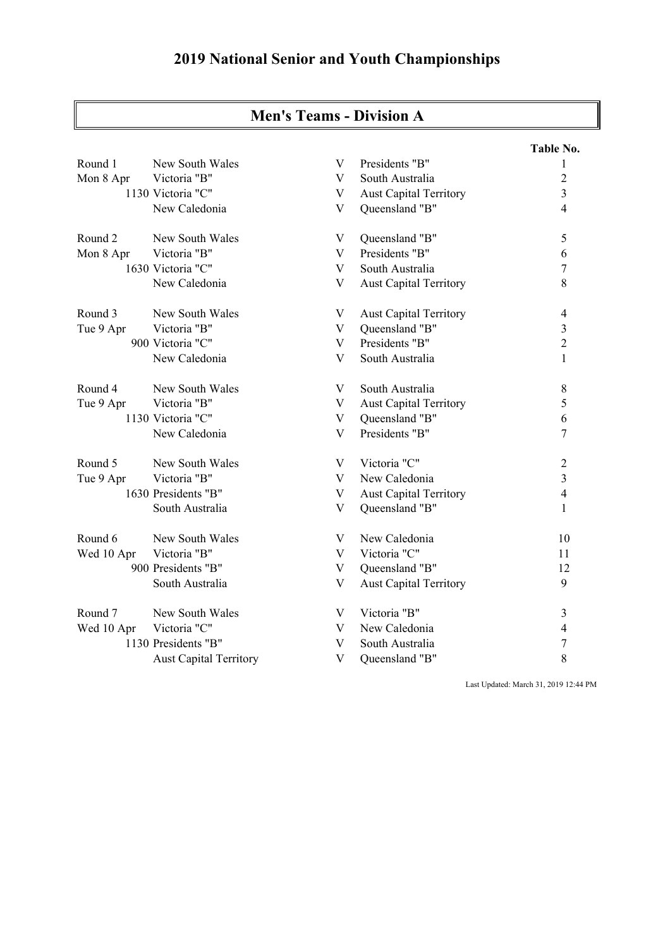## **2019 National Senior and Youth Championships**

| Men's 1eams - Division A |                               |             |                               |                |  |  |
|--------------------------|-------------------------------|-------------|-------------------------------|----------------|--|--|
|                          |                               |             |                               | Table No.      |  |  |
| Round 1                  | New South Wales               | V           | Presidents "B"                | 1              |  |  |
| Mon 8 Apr                | Victoria "B"                  | V           | South Australia               | $\overline{2}$ |  |  |
|                          | 1130 Victoria "C"             | V           | Aust Capital Territory        | 3              |  |  |
|                          | New Caledonia                 | V           | Queensland "B"                | $\overline{4}$ |  |  |
| Round <sub>2</sub>       | New South Wales               | V           | Queensland "B"                | 5              |  |  |
| Mon 8 Apr                | Victoria "B"                  | V           | Presidents "B"                | 6              |  |  |
|                          | 1630 Victoria "C"             | V           | South Australia               | $\tau$         |  |  |
|                          | New Caledonia                 | V           | <b>Aust Capital Territory</b> | $\,8\,$        |  |  |
| Round 3                  | New South Wales               | V           | <b>Aust Capital Territory</b> | $\overline{4}$ |  |  |
| Tue 9 Apr                | Victoria "B"                  | V           | Queensland "B"                | $\mathfrak{Z}$ |  |  |
|                          | 900 Victoria "C"              | V           | Presidents "B"                | $\overline{2}$ |  |  |
|                          | New Caledonia                 | V           | South Australia               | $\mathbf{1}$   |  |  |
| Round 4                  | New South Wales               | V           | South Australia               | 8              |  |  |
| Tue 9 Apr                | Victoria "B"                  | V           | <b>Aust Capital Territory</b> | 5              |  |  |
|                          | 1130 Victoria "C"             | V           | Queensland "B"                | 6              |  |  |
|                          | New Caledonia                 | V           | Presidents "B"                | 7              |  |  |
| Round 5                  | New South Wales               | V           | Victoria "C"                  | $\overline{2}$ |  |  |
| Tue 9 Apr                | Victoria "B"                  | V           | New Caledonia                 | $\overline{3}$ |  |  |
|                          | 1630 Presidents "B"           | V           | <b>Aust Capital Territory</b> | $\overline{4}$ |  |  |
|                          | South Australia               | V           | Queensland "B"                | $\mathbf{1}$   |  |  |
| Round 6                  | New South Wales               | V           | New Caledonia                 | 10             |  |  |
| Wed 10 Apr               | Victoria "B"                  | V           | Victoria "C"                  | 11             |  |  |
|                          | 900 Presidents "B"            | V           | Queensland "B"                | 12             |  |  |
|                          | South Australia               | V           | <b>Aust Capital Territory</b> | 9              |  |  |
| Round 7                  | New South Wales               | V           | Victoria "B"                  | 3              |  |  |
| Wed 10 Apr               | Victoria "C"                  | V           | New Caledonia                 | $\overline{4}$ |  |  |
|                          | 1130 Presidents "B"           | V           | South Australia               | 7              |  |  |
|                          | <b>Aust Capital Territory</b> | $\mathbf V$ | Queensland "B"                | 8              |  |  |

## **Men's Teams - Division A**

Last Updated: March 31, 2019 12:44 PM